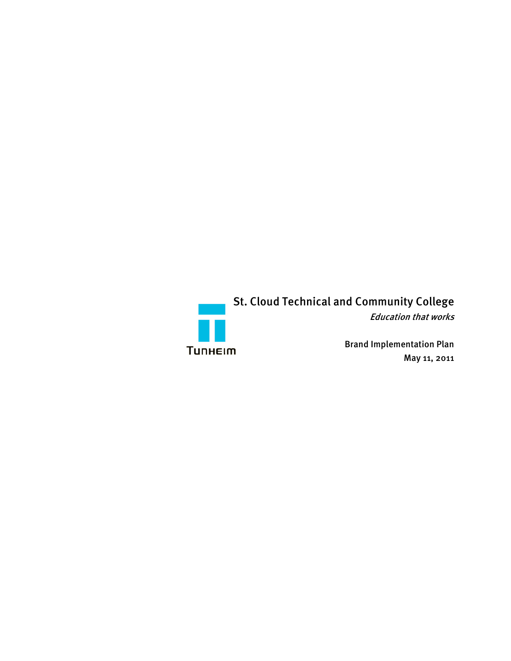

St. Cloud Technical and Community College

Education that works

Brand Implementation Plan May 11, 2011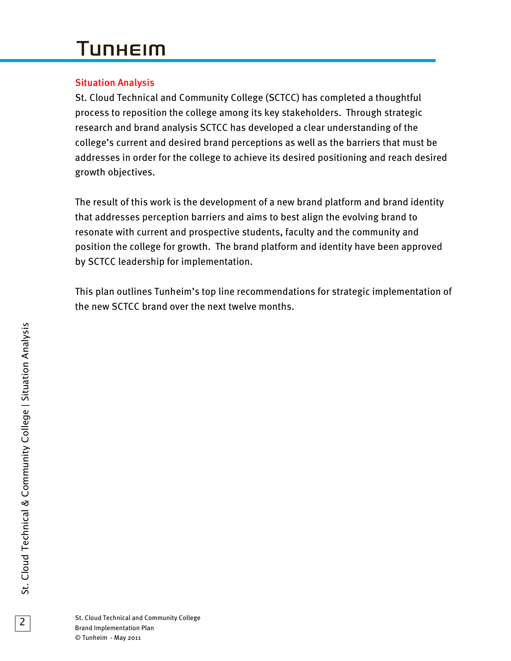# **TUNHEIM**

### Situation Analysis

St. Cloud Technical and Community College (SCTCC) has completed a thoughtful process to reposition the college among its key stakeholders. Through strategic research and brand analysis SCTCC has developed a clear understanding of the college's current and desired brand perceptions as well as the barriers that must be addresses in order for the college to achieve its desired positioning and reach desired growth objectives.

The result of this work is the development of a new brand platform and brand identity that addresses perception barriers and aims to best align the evolving brand to resonate with current and prospective students, faculty and the community and position the college for growth. The brand platform and identity have been approved by SCTCC leadership for implementation.

This plan outlines Tunheim's top line recommendations for strategic implementation of the new SCTCC brand over the next twelve months.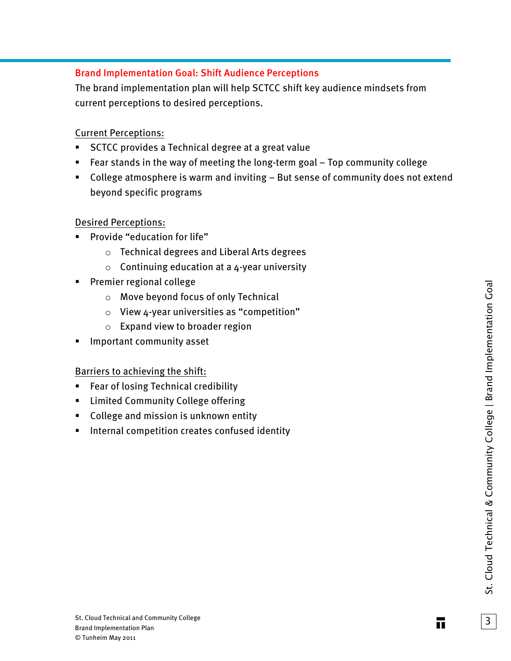#### Brand Implementation Goal: Shift Audience Perceptions

The brand implementation plan will help SCTCC shift key audience mindsets from current perceptions to desired perceptions.

#### Current Perceptions:

- **SCTCC provides a Technical degree at a great value**
- Fear stands in the way of meeting the long-term goal Top community college
- College atmosphere is warm and inviting But sense of community does not extend beyond specific programs

#### Desired Perceptions:

- **Provide "education for life"** 
	- o Technical degrees and Liberal Arts degrees
	- $\circ$  Continuing education at a 4-year university
- **Premier regional college** 
	- o Move beyond focus of only Technical
	- $\circ$  View 4-year universities as "competition"
	- o Expand view to broader region
- Important community asset

#### Barriers to achieving the shift:

- **Fear of losing Technical credibility**
- **EXEDENT Limited Community College offering**
- **College and mission is unknown entity**
- **Internal competition creates confused identity**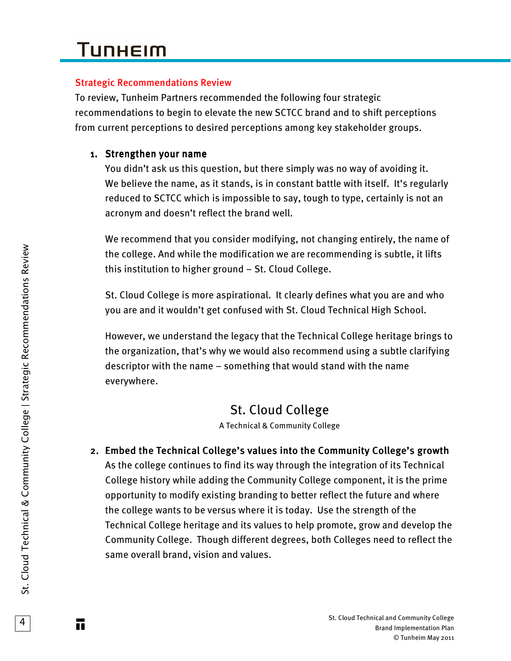#### Strategic Recommendations Review

To review, Tunheim Partners recommended the following four strategic recommendations to begin to elevate the new SCTCC brand and to shift perceptions from current perceptions to desired perceptions among key stakeholder groups.

### 1. Strengthen your name

You didn't ask us this question, but there simply was no way of avoiding it. We believe the name, as it stands, is in constant battle with itself. It's regularly reduced to SCTCC which is impossible to say, tough to type, certainly is not an acronym and doesn't reflect the brand well.

We recommend that you consider modifying, not changing entirely, the name of the college. And while the modification we are recommending is subtle, it lifts this institution to higher ground – St. Cloud College.

St. Cloud College is more aspirational. It clearly defines what you are and who you are and it wouldn't get confused with St. Cloud Technical High School.

However, we understand the legacy that the Technical College heritage brings to the organization, that's why we would also recommend using a subtle clarifying descriptor with the name – something that would stand with the name everywhere.

# St. Cloud College

A Technical & Community College

2. Embed the Technical College's values into the Community College's growth As the college continues to find its way through the integration of its Technical College history while adding the Community College component, it is the prime opportunity to modify existing branding to better reflect the future and where the college wants to be versus where it is today. Use the strength of the Technical College heritage and its values to help promote, grow and develop the Community College. Though different degrees, both Colleges need to reflect the same overall brand, vision and values.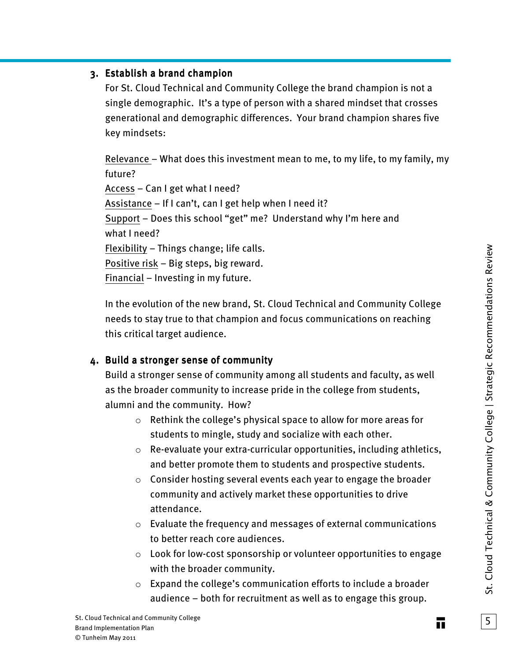#### 3. Establish a brand champion

For St. Cloud Technical and Community College the brand champion is not a single demographic. It's a type of person with a shared mindset that crosses generational and demographic differences. Your brand champion shares five key mindsets:

Relevance – What does this investment mean to me, to my life, to my family, my future? Access – Can I get what I need? Assistance – If I can't, can I get help when I need it? Support – Does this school "get" me? Understand why I'm here and what I need? Flexibility – Things change; life calls. Positive risk – Big steps, big reward. Financial – Investing in my future.

In the evolution of the new brand, St. Cloud Technical and Community College needs to stay true to that champion and focus communications on reaching this critical target audience.

#### 4. Build a stronger sense of community

Build a stronger sense of community among all students and faculty, as well as the broader community to increase pride in the college from students, alumni and the community. How?

- o Rethink the college's physical space to allow for more areas for students to mingle, study and socialize with each other.
- o Re-evaluate your extra-curricular opportunities, including athletics, and better promote them to students and prospective students.
- o Consider hosting several events each year to engage the broader community and actively market these opportunities to drive attendance.
- o Evaluate the frequency and messages of external communications to better reach core audiences.
- o Look for low-cost sponsorship or volunteer opportunities to engage with the broader community.
- $\circ$  Expand the college's communication efforts to include a broader audience – both for recruitment as well as to engage this group.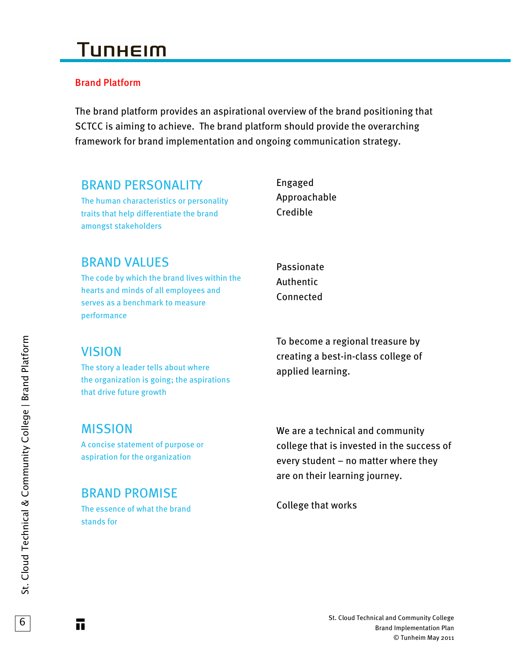### Brand Platform

The brand platform provides an aspirational overview of the brand positioning that SCTCC is aiming to achieve. The brand platform should provide the overarching framework for brand implementation and ongoing communication strategy.

## BRAND PERSONALITY

The human characteristics or personality traits that help differentiate the brand amongst stakeholders

Engaged Approachable Credible

## BRAND VALUES

The code by which the brand lives within the hearts and minds of all employees and serves as a benchmark to measure performance

Passionate Authentic Connected

## VISION

The story a leader tells about where the organization is going; the aspirations that drive future growth

To become a regional treasure by creating a best-in-class college of applied learning.

## MISSION

A concise statement of purpose or aspiration for the organization

## BRAND PROMISE

The essence of what the brand stands for

We are a technical and community college that is invested in the success of every student – no matter where they are on their learning journey.

College that works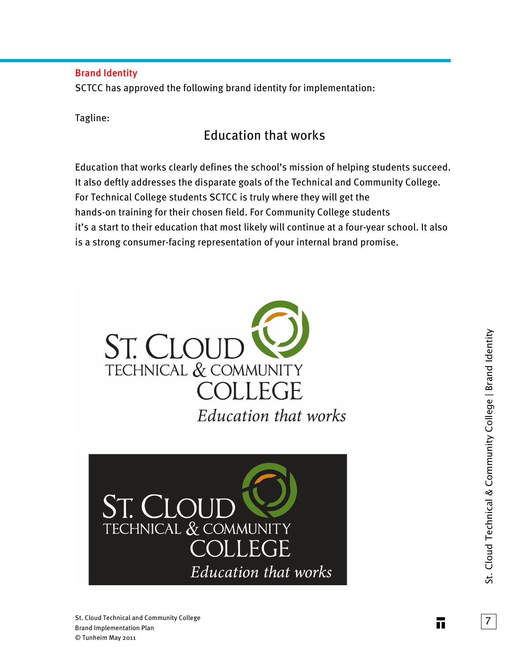#### Brand Identity

SCTCC has approved the following brand identity for implementation:

Tagline:

## Education that works

Education that works clearly defines the school's mission of helping students succeed. It also deftly addresses the disparate goals of the Technical and Community College. For Technical College students SCTCC is truly where they will get the hands-on training for their chosen field. For Community College students it's a start to their education that most likely will continue at a four-year school. It also is a strong consumer-facing representation of your internal brand promise.



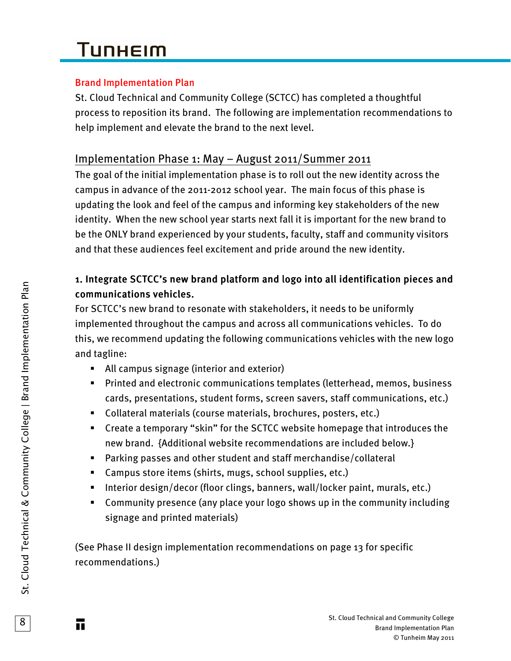# **TUNHEIM**

### Brand Implementation Plan

St. Cloud Technical and Community College (SCTCC) has completed a thoughtful process to reposition its brand. The following are implementation recommendations to help implement and elevate the brand to the next level.

## Implementation Phase 1: May – August 2011/Summer 2011

The goal of the initial implementation phase is to roll out the new identity across the campus in advance of the 2011-2012 school year. The main focus of this phase is updating the look and feel of the campus and informing key stakeholders of the new identity. When the new school year starts next fall it is important for the new brand to be the ONLY brand experienced by your students, faculty, staff and community visitors and that these audiences feel excitement and pride around the new identity.

## 1. Integrate SCTCC's new brand platform and logo into all identification pieces and communications vehicles.

For SCTCC's new brand to resonate with stakeholders, it needs to be uniformly implemented throughout the campus and across all communications vehicles. To do this, we recommend updating the following communications vehicles with the new logo and tagline:

- All campus signage (interior and exterior)
- Printed and electronic communications templates (letterhead, memos, business cards, presentations, student forms, screen savers, staff communications, etc.)
- Collateral materials (course materials, brochures, posters, etc.)
- Create a temporary "skin" for the SCTCC website homepage that introduces the new brand. {Additional website recommendations are included below.}
- Parking passes and other student and staff merchandise/collateral
- Campus store items (shirts, mugs, school supplies, etc.)
- Interior design/decor (floor clings, banners, wall/locker paint, murals, etc.)
- Community presence (any place your logo shows up in the community including signage and printed materials)

(See Phase II design implementation recommendations on page 13 for specific recommendations.)

8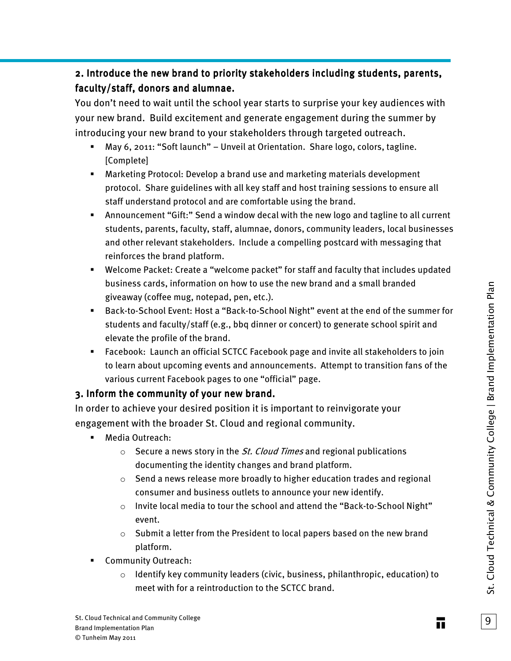## 2. Introduce the new brand to priority stakeholders including students, parents, faculty/staff, donors and alumnae.

You don't need to wait until the school year starts to surprise your key audiences with your new brand. Build excitement and generate engagement during the summer by introducing your new brand to your stakeholders through targeted outreach.

- May 6, 2011: "Soft launch" Unveil at Orientation. Share logo, colors, tagline. [Complete]
- Marketing Protocol: Develop a brand use and marketing materials development protocol. Share guidelines with all key staff and host training sessions to ensure all staff understand protocol and are comfortable using the brand.
- Announcement "Gift:" Send a window decal with the new logo and tagline to all current students, parents, faculty, staff, alumnae, donors, community leaders, local businesses and other relevant stakeholders. Include a compelling postcard with messaging that reinforces the brand platform.
- Welcome Packet: Create a "welcome packet" for staff and faculty that includes updated business cards, information on how to use the new brand and a small branded giveaway (coffee mug, notepad, pen, etc.).
- Back-to-School Event: Host a "Back-to-School Night" event at the end of the summer for students and faculty/staff (e.g., bbq dinner or concert) to generate school spirit and elevate the profile of the brand.
- Facebook: Launch an official SCTCC Facebook page and invite all stakeholders to join to learn about upcoming events and announcements. Attempt to transition fans of the various current Facebook pages to one "official" page.

### 3. Inform the community of your new brand.

In order to achieve your desired position it is important to reinvigorate your engagement with the broader St. Cloud and regional community.

- **Media Outreach:** 
	- $\circ$  Secure a news story in the *St. Cloud Times* and regional publications documenting the identity changes and brand platform.
	- o Send a news release more broadly to higher education trades and regional consumer and business outlets to announce your new identify.
	- o Invite local media to tour the school and attend the "Back-to-School Night" event.
	- o Submit a letter from the President to local papers based on the new brand platform.
- **EXECOMMUNITY Outreach:** 
	- o Identify key community leaders (civic, business, philanthropic, education) to meet with for a reintroduction to the SCTCC brand.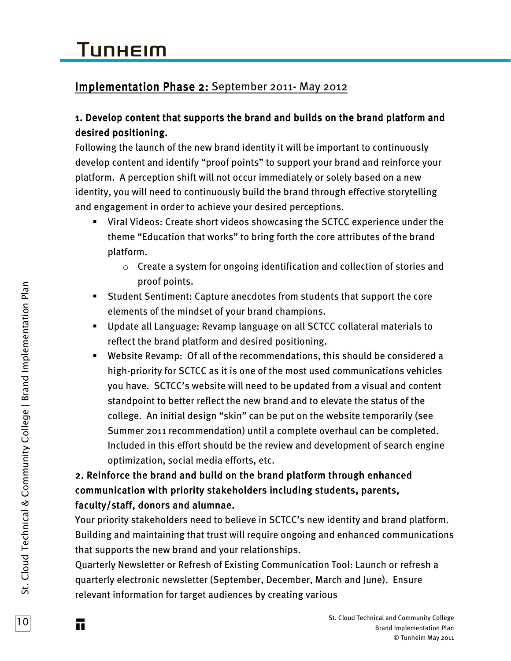## Implementation Phase 2: September 2011- May 2012

### 1. Develop content that supports the brand and builds on the brand platform and desired positioning.

Following the launch of the new brand identity it will be important to continuously develop content and identify "proof points" to support your brand and reinforce your platform. A perception shift will not occur immediately or solely based on a new identity, you will need to continuously build the brand through effective storytelling and engagement in order to achieve your desired perceptions.

- Viral Videos: Create short videos showcasing the SCTCC experience under the theme "Education that works" to bring forth the core attributes of the brand platform.
	- $\circ$  Create a system for ongoing identification and collection of stories and proof points.
- Student Sentiment: Capture anecdotes from students that support the core elements of the mindset of your brand champions.
- Update all Language: Revamp language on all SCTCC collateral materials to reflect the brand platform and desired positioning.
- Website Revamp: Of all of the recommendations, this should be considered a high-priority for SCTCC as it is one of the most used communications vehicles you have. SCTCC's website will need to be updated from a visual and content standpoint to better reflect the new brand and to elevate the status of the college. An initial design "skin" can be put on the website temporarily (see Summer 2011 recommendation) until a complete overhaul can be completed. Included in this effort should be the review and development of search engine optimization, social media efforts, etc.

## 2. Reinforce the brand and build on the brand platform through enhanced communication with priority stakeholders including students, parents, faculty/staff, donors and alumnae.

Your priority stakeholders need to believe in SCTCC's new identity and brand platform. Building and maintaining that trust will require ongoing and enhanced communications that supports the new brand and your relationships.

Quarterly Newsletter or Refresh of Existing Communication Tool: Launch or refresh a quarterly electronic newsletter (September, December, March and June). Ensure relevant information for target audiences by creating various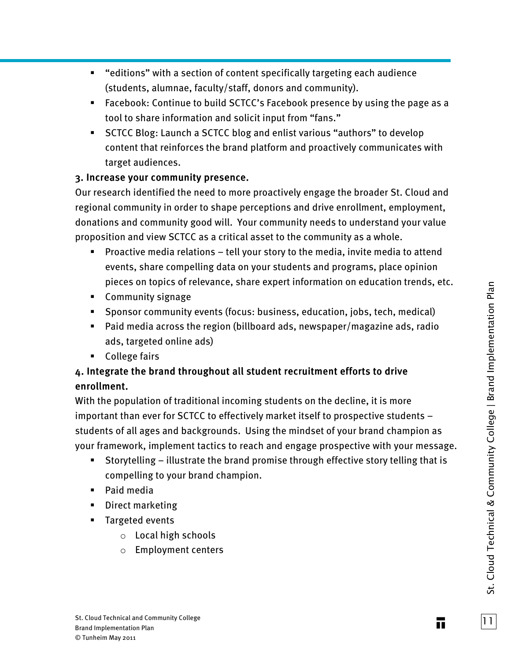- "editions" with a section of content specifically targeting each audience (students, alumnae, faculty/staff, donors and community).
- Facebook: Continue to build SCTCC's Facebook presence by using the page as a tool to share information and solicit input from "fans."
- SCTCC Blog: Launch a SCTCC blog and enlist various "authors" to develop content that reinforces the brand platform and proactively communicates with target audiences.

#### 3. Increase your community presence.

Our research identified the need to more proactively engage the broader St. Cloud and regional community in order to shape perceptions and drive enrollment, employment, donations and community good will. Your community needs to understand your value proposition and view SCTCC as a critical asset to the community as a whole.

- **Proactive media relations tell your story to the media, invite media to attend** events, share compelling data on your students and programs, place opinion pieces on topics of relevance, share expert information on education trends, etc.
- Community signage
- Sponsor community events (focus: business, education, jobs, tech, medical)
- Paid media across the region (billboard ads, newspaper/magazine ads, radio ads, targeted online ads)
- **College fairs**

### 4. Integrate the brand throughout all student recruitment efforts to drive enrollment.

With the population of traditional incoming students on the decline, it is more important than ever for SCTCC to effectively market itself to prospective students – students of all ages and backgrounds. Using the mindset of your brand champion as your framework, implement tactics to reach and engage prospective with your message.

- Storytelling illustrate the brand promise through effective story telling that is compelling to your brand champion.
- Paid media
- **Direct marketing**
- **Targeted events** 
	- o Local high schools
	- o Employment centers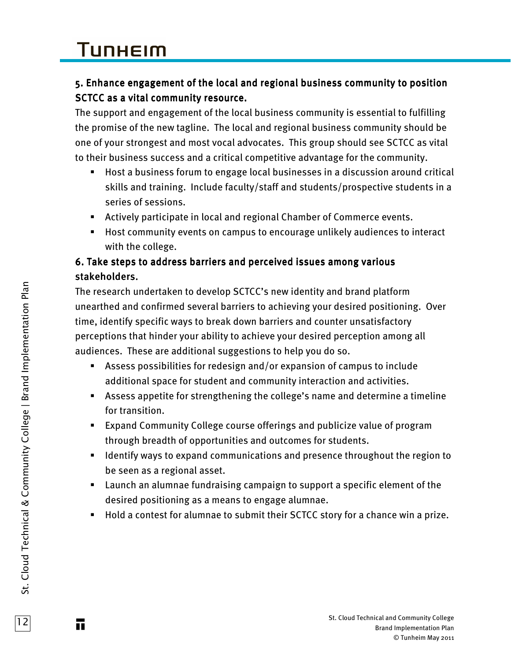# **TUNHEIM**

## 5. Enhance engagement of the local and regional business community to position SCTCC as a vital community resource.

The support and engagement of the local business community is essential to fulfilling the promise of the new tagline. The local and regional business community should be one of your strongest and most vocal advocates. This group should see SCTCC as vital to their business success and a critical competitive advantage for the community.

- Host a business forum to engage local businesses in a discussion around critical skills and training. Include faculty/staff and students/prospective students in a series of sessions.
- Actively participate in local and regional Chamber of Commerce events.
- Host community events on campus to encourage unlikely audiences to interact with the college.

### 6. Take steps to address barriers and perceived issues among various stakeholders.

The research undertaken to develop SCTCC's new identity and brand platform unearthed and confirmed several barriers to achieving your desired positioning. Over time, identify specific ways to break down barriers and counter unsatisfactory perceptions that hinder your ability to achieve your desired perception among all audiences. These are additional suggestions to help you do so.

- Assess possibilities for redesign and/or expansion of campus to include additional space for student and community interaction and activities.
- Assess appetite for strengthening the college's name and determine a timeline for transition.
- Expand Community College course offerings and publicize value of program through breadth of opportunities and outcomes for students.
- **If all identify ways to expand communications and presence throughout the region to** be seen as a regional asset.
- Launch an alumnae fundraising campaign to support a specific element of the desired positioning as a means to engage alumnae.
- Hold a contest for alumnae to submit their SCTCC story for a chance win a prize.

12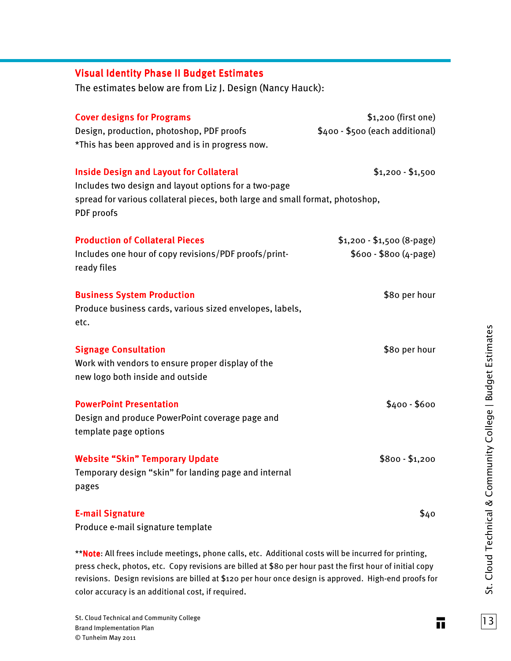| <b>Visual Identity Phase II Budget Estimates</b>                                                                                                                                                       |                                                        |
|--------------------------------------------------------------------------------------------------------------------------------------------------------------------------------------------------------|--------------------------------------------------------|
| The estimates below are from Liz J. Design (Nancy Hauck):                                                                                                                                              |                                                        |
| <b>Cover designs for Programs</b><br>Design, production, photoshop, PDF proofs<br>*This has been approved and is in progress now.                                                                      | \$1,200 (first one)<br>\$400 - \$500 (each additional) |
| <b>Inside Design and Layout for Collateral</b><br>Includes two design and layout options for a two-page<br>spread for various collateral pieces, both large and small format, photoshop,<br>PDF proofs | $$1,200 - $1,500$                                      |
| <b>Production of Collateral Pieces</b><br>Includes one hour of copy revisions/PDF proofs/print-<br>ready files                                                                                         | $$1,200 - $1,500 (8-page)$<br>$$600 - $800 (4-page)$   |
| <b>Business System Production</b><br>Produce business cards, various sized envelopes, labels,<br>etc.                                                                                                  | \$80 per hour                                          |
| <b>Signage Consultation</b><br>Work with vendors to ensure proper display of the<br>new logo both inside and outside                                                                                   | \$80 per hour                                          |
| <b>PowerPoint Presentation</b><br>Design and produce PowerPoint coverage page and<br>template page options                                                                                             | $$400 - $600$                                          |
| <b>Website "Skin" Temporary Update</b><br>Temporary design "skin" for landing page and internal<br>pages                                                                                               | $$800 - $1,200$                                        |
| <b>E-mail Signature</b><br>Produce e-mail signature template                                                                                                                                           | \$40                                                   |

\*\*Note: All frees include meetings, phone calls, etc. Additional costs will be incurred for printing, press check, photos, etc. Copy revisions are billed at \$80 per hour past the first hour of initial copy revisions. Design revisions are billed at \$120 per hour once design is approved. High-end proofs for color accuracy is an additional cost, if required.

 $|13|$